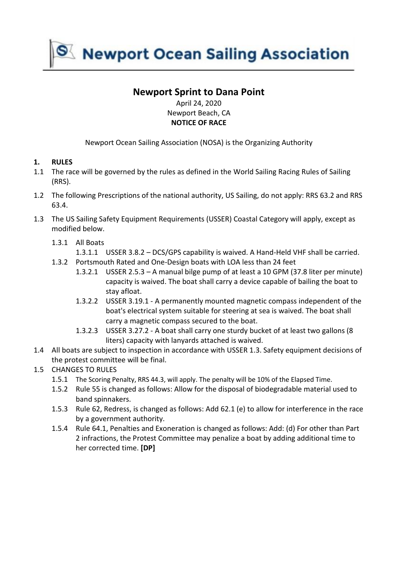**Newport Ocean Sailing Association** 

# **Newport Sprint to Dana Point**

April 24, 2020 Newport Beach, CA **NOTICE OF RACE**

Newport Ocean Sailing Association (NOSA) is the Organizing Authority

- **1. RULES**
- 1.1 The race will be governed by the rules as defined in the World Sailing Racing Rules of Sailing (RRS).
- 1.2 The following Prescriptions of the national authority, US Sailing, do not apply: RRS 63.2 and RRS 63.4.
- 1.3 The US Sailing Safety Equipment Requirements (USSER) Coastal Category will apply, except as modified below.
	- 1.3.1 All Boats
		- 1.3.1.1 USSER 3.8.2 DCS/GPS capability is waived. A Hand-Held VHF shall be carried.
	- 1.3.2 Portsmouth Rated and One-Design boats with LOA less than 24 feet
		- 1.3.2.1 USSER 2.5.3 A manual bilge pump of at least a 10 GPM (37.8 liter per minute) capacity is waived. The boat shall carry a device capable of bailing the boat to stay afloat.
		- 1.3.2.2 USSER 3.19.1 A permanently mounted magnetic compass independent of the boat's electrical system suitable for steering at sea is waived. The boat shall carry a magnetic compass secured to the boat.
		- 1.3.2.3 USSER 3.27.2 A boat shall carry one sturdy bucket of at least two gallons (8 liters) capacity with lanyards attached is waived.
- 1.4 All boats are subject to inspection in accordance with USSER 1.3. Safety equipment decisions of the protest committee will be final.
- 1.5 CHANGES TO RULES
	- 1.5.1 The Scoring Penalty, RRS 44.3, will apply. The penalty will be 10% of the Elapsed Time.
	- 1.5.2 Rule 55 is changed as follows: Allow for the disposal of biodegradable material used to band spinnakers.
	- 1.5.3 Rule 62, Redress, is changed as follows: Add 62.1 (e) to allow for interference in the race by a government authority.
	- 1.5.4 Rule 64.1, Penalties and Exoneration is changed as follows: Add: (d) For other than Part 2 infractions, the Protest Committee may penalize a boat by adding additional time to her corrected time. **[DP]**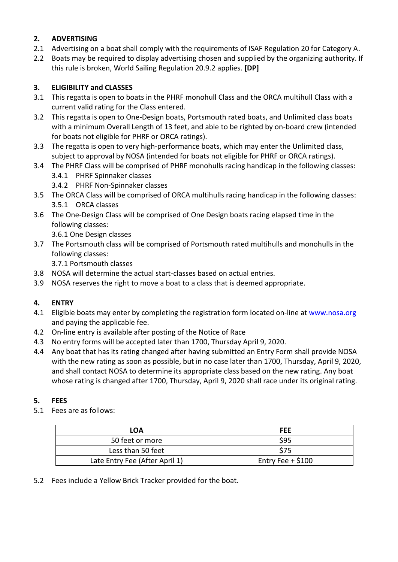## **2. ADVERTISING**

- 2.1 Advertising on a boat shall comply with the requirements of ISAF Regulation 20 for Category A.
- 2.2 Boats may be required to display advertising chosen and supplied by the organizing authority. If this rule is broken, World Sailing Regulation 20.9.2 applies. **[DP]**

## **3. ELIGIBILITY and CLASSES**

- 3.1 This regatta is open to boats in the PHRF monohull Class and the ORCA multihull Class with a current valid rating for the Class entered.
- 3.2 This regatta is open to One-Design boats, Portsmouth rated boats, and Unlimited class boats with a minimum Overall Length of 13 feet, and able to be righted by on-board crew (intended for boats not eligible for PHRF or ORCA ratings).
- 3.3 The regatta is open to very high-performance boats, which may enter the Unlimited class, subject to approval by NOSA (intended for boats not eligible for PHRF or ORCA ratings).
- 3.4 The PHRF Class will be comprised of PHRF monohulls racing handicap in the following classes:
	- 3.4.1 PHRF Spinnaker classes
	- 3.4.2 PHRF Non-Spinnaker classes
- 3.5 The ORCA Class will be comprised of ORCA multihulls racing handicap in the following classes: 3.5.1 ORCA classes
- 3.6 The One-Design Class will be comprised of One Design boats racing elapsed time in the following classes:

3.6.1 One Design classes

3.7 The Portsmouth class will be comprised of Portsmouth rated multihulls and monohulls in the following classes:

3.7.1 Portsmouth classes

- 3.8 NOSA will determine the actual start-classes based on actual entries.
- 3.9 NOSA reserves the right to move a boat to a class that is deemed appropriate.

### **4. ENTRY**

- 4.1 Eligible boats may enter by completing the registration form located on-line at [www.nosa.org](http://www.nosa.org/) and paying the applicable fee.
- 4.2 On-line entry is available after posting of the Notice of Race
- 4.3 No entry forms will be accepted later than 1700, Thursday April 9, 2020.
- 4.4 Any boat that has its rating changed after having submitted an Entry Form shall provide NOSA with the new rating as soon as possible, but in no case later than 1700, Thursday, April 9, 2020, and shall contact NOSA to determine its appropriate class based on the new rating. Any boat whose rating is changed after 1700, Thursday, April 9, 2020 shall race under its original rating.

#### **5. FEES**

5.1 Fees are as follows:

| LOA                            | <b>FFF</b>        |
|--------------------------------|-------------------|
| 50 feet or more                | <b>S95</b>        |
| Less than 50 feet              | <b>S75</b>        |
| Late Entry Fee (After April 1) | Entry Fee + \$100 |

5.2 Fees include a Yellow Brick Tracker provided for the boat.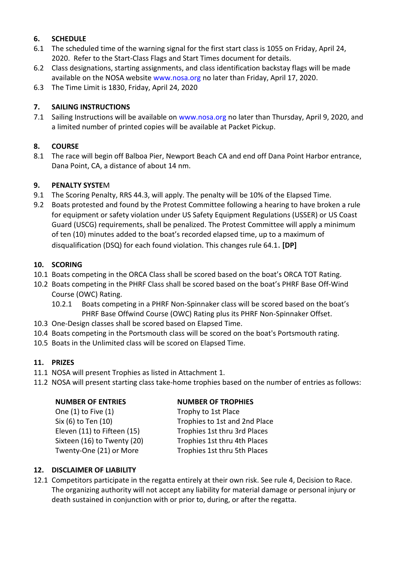### **6. SCHEDULE**

- 6.1 The scheduled time of the warning signal for the first start class is 1055 on Friday, April 24, 2020. Refer to the Start-Class Flags and Start Times document for details.
- 6.2 Class designations, starting assignments, and class identification backstay flags will be made available on the NOSA website [www.nosa.org](http://www.nosa.org/) no later than Friday, April 17, 2020.
- 6.3 The Time Limit is 1830, Friday, April 24, 2020

#### **7. SAILING INSTRUCTIONS**

7.1 Sailing Instructions will be available on [www.nosa.org](file:///C:/Users/BillG/Dropbox/NOSA/VC%20Race/Docs%20in%20process/www.nosa.org) no later than Thursday, April 9, 2020, and a limited number of printed copies will be available at Packet Pickup.

#### **8. COURSE**

8.1 The race will begin off Balboa Pier, Newport Beach CA and end off Dana Point Harbor entrance, Dana Point, CA, a distance of about 14 nm.

#### **9. PENALTY SYSTE**M

- 9.1 The Scoring Penalty, RRS 44.3, will apply. The penalty will be 10% of the Elapsed Time.
- 9.2 Boats protested and found by the Protest Committee following a hearing to have broken a rule for equipment or safety violation under US Safety Equipment Regulations (USSER) or US Coast Guard (USCG) requirements, shall be penalized. The Protest Committee will apply a minimum of ten (10) minutes added to the boat's recorded elapsed time, up to a maximum of disqualification (DSQ) for each found violation. This changes rule 64.1. **[DP]**

#### **10. SCORING**

- 10.1 Boats competing in the ORCA Class shall be scored based on the boat's ORCA TOT Rating.
- 10.2 Boats competing in the PHRF Class shall be scored based on the boat's PHRF Base Off-Wind Course (OWC) Rating.
	- 10.2.1 Boats competing in a PHRF Non-Spinnaker class will be scored based on the boat's PHRF Base Offwind Course (OWC) Rating plus its PHRF Non-Spinnaker Offset.
- 10.3 One-Design classes shall be scored based on Elapsed Time.
- 10.4 Boats competing in the Portsmouth class will be scored on the boat's Portsmouth rating.
- 10.5 Boats in the Unlimited class will be scored on Elapsed Time.

### **11. PRIZES**

- 11.1 NOSA will present Trophies as listed in Attachment 1.
- 11.2 NOSA will present starting class take-home trophies based on the number of entries as follows:

| <b>NUMBER OF ENTRIES</b>    | <b>NUMBER OF TROPHIES</b>     |
|-----------------------------|-------------------------------|
| One $(1)$ to Five $(1)$     | Trophy to 1st Place           |
| Six (6) to Ten (10)         | Trophies to 1st and 2nd Place |
| Eleven (11) to Fifteen (15) | Trophies 1st thru 3rd Places  |
| Sixteen (16) to Twenty (20) | Trophies 1st thru 4th Places  |
| Twenty-One (21) or More     | Trophies 1st thru 5th Places  |
|                             |                               |

### **12. DISCLAIMER OF LIABILITY**

12.1 Competitors participate in the regatta entirely at their own risk. See rule 4, Decision to Race. The organizing authority will not accept any liability for material damage or personal injury or death sustained in conjunction with or prior to, during, or after the regatta.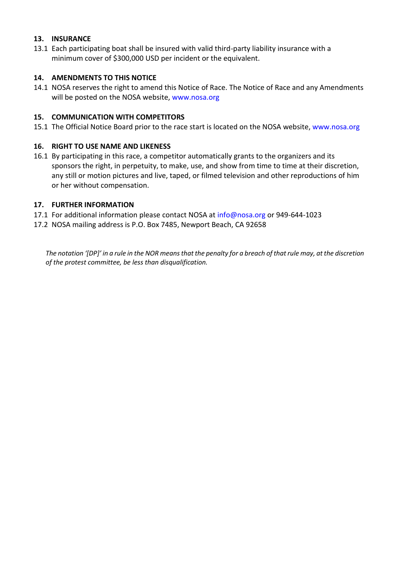#### **13. INSURANCE**

13.1 Each participating boat shall be insured with valid third-party liability insurance with a minimum cover of \$300,000 USD per incident or the equivalent.

#### **14. AMENDMENTS TO THIS NOTICE**

14.1 NOSA reserves the right to amend this Notice of Race. The Notice of Race and any Amendments will be posted on the NOSA website, [www.nosa.org](http://www.nosa.org/)

#### **15. COMMUNICATION WITH COMPETITORS**

15.1 The Official Notice Board prior to the race start is located on the NOSA website[, www.nosa.org](file:///C:/Users/BillG/Dropbox/NOSA/VC%20Race/Docs%20in%20process/www.newporttoensenada.com)

#### **16. RIGHT TO USE NAME AND LIKENESS**

16.1 By participating in this race, a competitor automatically grants to the organizers and its sponsors the right, in perpetuity, to make, use, and show from time to time at their discretion, any still or motion pictures and live, taped, or filmed television and other reproductions of him or her without compensation.

#### **17. FURTHER INFORMATION**

- 17.1 For additional information please contact NOSA at [info@nosa.org](mailto:info@nosa.org) or 949-644-1023
- 17.2 NOSA mailing address is P.O. Box 7485, Newport Beach, CA 92658

*The notation '[DP]' in a rule in the NOR means that the penalty for a breach of that rule may, at the discretion of the protest committee, be less than disqualification.*